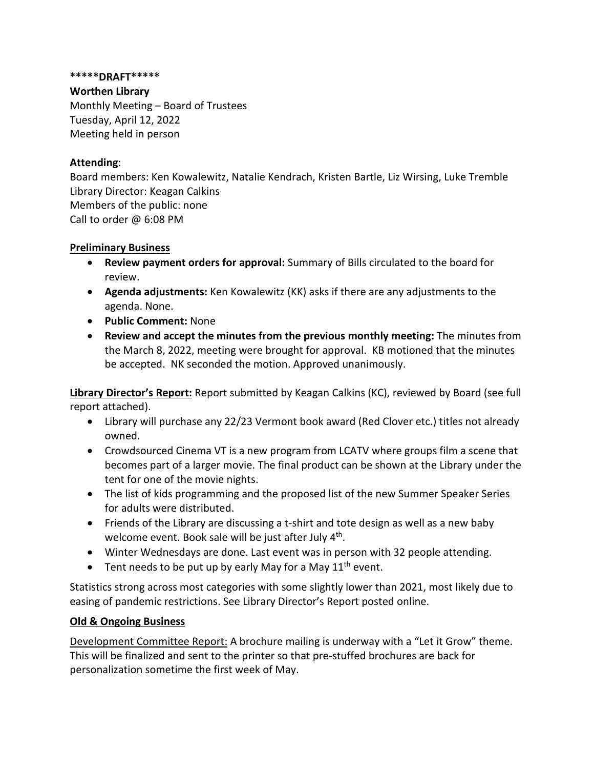#### **\*\*\*\*\*DRAFT\*\*\*\*\***

**Worthen Library** Monthly Meeting – Board of Trustees Tuesday, April 12, 2022 Meeting held in person

## **Attending**:

Board members: Ken Kowalewitz, Natalie Kendrach, Kristen Bartle, Liz Wirsing, Luke Tremble Library Director: Keagan Calkins Members of the public: none Call to order @ 6:08 PM

## **Preliminary Business**

- **Review payment orders for approval:** Summary of Bills circulated to the board for review.
- **Agenda adjustments:** Ken Kowalewitz (KK) asks if there are any adjustments to the agenda. None.
- **Public Comment:** None
- **Review and accept the minutes from the previous monthly meeting:** The minutes from the March 8, 2022, meeting were brought for approval. KB motioned that the minutes be accepted. NK seconded the motion. Approved unanimously.

**Library Director's Report:** Report submitted by Keagan Calkins (KC), reviewed by Board (see full report attached).

- Library will purchase any 22/23 Vermont book award (Red Clover etc.) titles not already owned.
- Crowdsourced Cinema VT is a new program from LCATV where groups film a scene that becomes part of a larger movie. The final product can be shown at the Library under the tent for one of the movie nights.
- The list of kids programming and the proposed list of the new Summer Speaker Series for adults were distributed.
- Friends of the Library are discussing a t-shirt and tote design as well as a new baby welcome event. Book sale will be just after July 4<sup>th</sup>.
- Winter Wednesdays are done. Last event was in person with 32 people attending.
- Tent needs to be put up by early May for a May  $11<sup>th</sup>$  event.

Statistics strong across most categories with some slightly lower than 2021, most likely due to easing of pandemic restrictions. See Library Director's Report posted online.

# **Old & Ongoing Business**

Development Committee Report: A brochure mailing is underway with a "Let it Grow" theme. This will be finalized and sent to the printer so that pre-stuffed brochures are back for personalization sometime the first week of May.